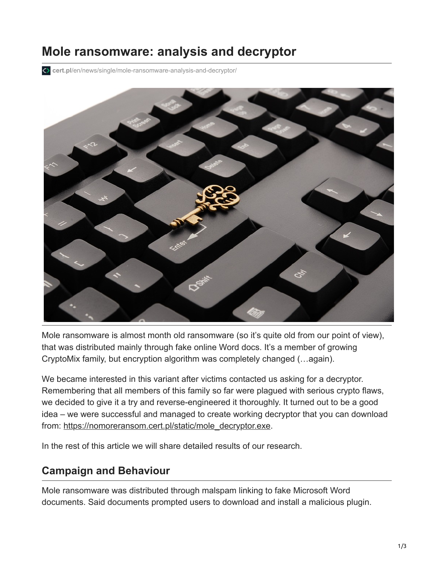## **Mole ransomware: analysis and decryptor**

**cert.pl**[/en/news/single/mole-ransomware-analysis-and-decryptor/](https://www.cert.pl/en/news/single/mole-ransomware-analysis-and-decryptor/)



Mole ransomware is almost month old ransomware (so it's quite old from our point of view), that was distributed mainly through fake online Word docs. It's a member of growing CryptoMix family, but encryption algorithm was completely changed (…again).

We became interested in this variant after victims contacted us asking for a decryptor. Remembering that all members of this family so far were plagued with serious crypto flaws, we decided to give it a try and reverse-engineered it thoroughly. It turned out to be a good idea – we were successful and managed to create working decryptor that you can download from: [https://nomoreransom.cert.pl/static/mole\\_decryptor.exe.](https://nomoreransom.cert.pl/static/mole_decryptor.exe)

In the rest of this article we will share detailed results of our research.

## **Campaign and Behaviour**

Mole ransomware was distributed through malspam linking to fake Microsoft Word documents. Said documents prompted users to download and install a malicious plugin.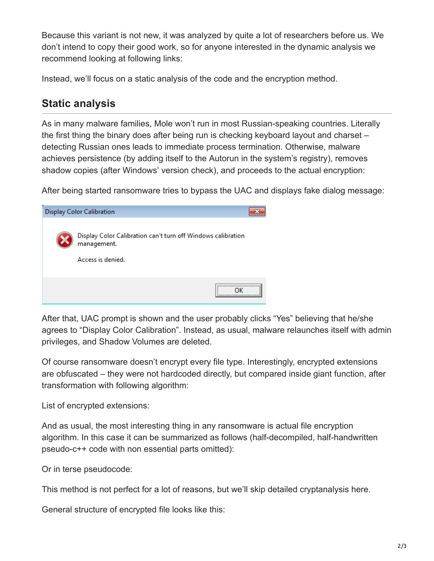Because this variant is not new, it was analyzed by quite a lot of researchers before us. We don't intend to copy their good work, so for anyone interested in the dynamic analysis we recommend looking at following links:

Instead, we'll focus on a static analysis of the code and the encryption method.

## **Static analysis**

As in many malware families, Mole won't run in most Russian-speaking countries. Literally the first thing the binary does after being run is checking keyboard layout and charset – detecting Russian ones leads to immediate process termination. Otherwise, malware achieves persistence (by adding itself to the Autorun in the system's registry), removes shadow copies (after Windows' version check), and proceeds to the actual encryption:

After being started ransomware tries to bypass the UAC and displays fake dialog message:

| <b>Display Color Calibration</b>                                            |
|-----------------------------------------------------------------------------|
| Display Color Calibration can't turn off Windows calibration<br>management. |
| Access is denied.                                                           |
|                                                                             |

After that, UAC prompt is shown and the user probably clicks "Yes" believing that he/she agrees to "Display Color Calibration". Instead, as usual, malware relaunches itself with admin privileges, and Shadow Volumes are deleted.

Of course ransomware doesn't encrypt every file type. Interestingly, encrypted extensions are obfuscated – they were not hardcoded directly, but compared inside giant function, after transformation with following algorithm:

List of encrypted extensions:

And as usual, the most interesting thing in any ransomware is actual file encryption algorithm. In this case it can be summarized as follows (half-decompiled, half-handwritten pseudo-c++ code with non essential parts omitted):

Or in terse pseudocode:

This method is not perfect for a lot of reasons, but we'll skip detailed cryptanalysis here.

General structure of encrypted file looks like this: